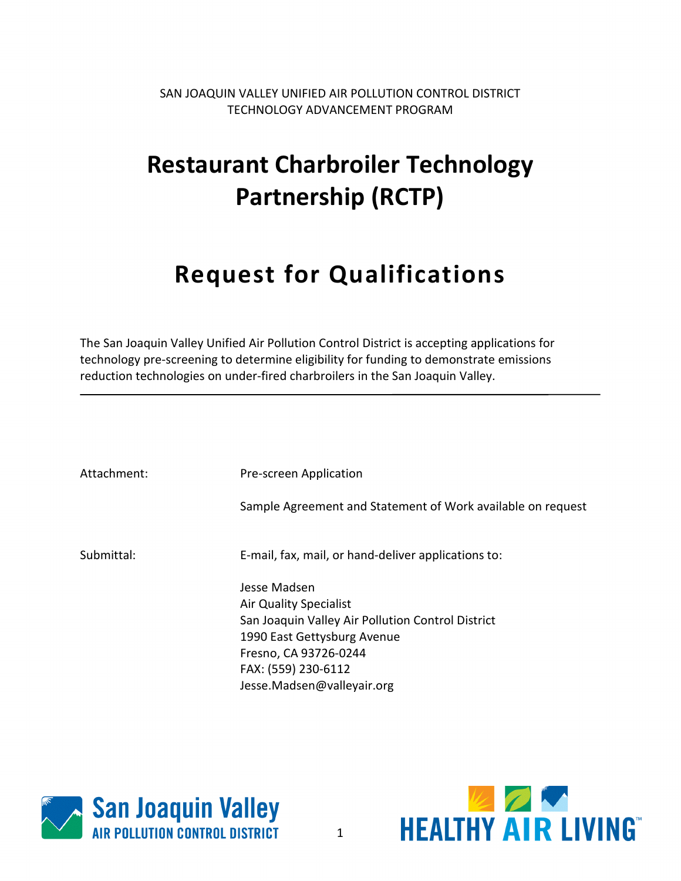SAN JOAQUIN VALLEY UNIFIED AIR POLLUTION CONTROL DISTRICT TECHNOLOGY ADVANCEMENT PROGRAM

# **Restaurant Charbroiler Technology Partnership (RCTP)**

# **Request for Qualifications**

The San Joaquin Valley Unified Air Pollution Control District is accepting applications for technology pre-screening to determine eligibility for funding to demonstrate emissions reduction technologies on under-fired charbroilers in the San Joaquin Valley.

| Attachment: | Pre-screen Application                                                                                                                                                                                          |
|-------------|-----------------------------------------------------------------------------------------------------------------------------------------------------------------------------------------------------------------|
|             | Sample Agreement and Statement of Work available on request                                                                                                                                                     |
| Submittal:  | E-mail, fax, mail, or hand-deliver applications to:                                                                                                                                                             |
|             | Jesse Madsen<br><b>Air Quality Specialist</b><br>San Joaquin Valley Air Pollution Control District<br>1990 East Gettysburg Avenue<br>Fresno, CA 93726-0244<br>FAX: (559) 230-6112<br>Jesse.Madsen@valleyair.org |



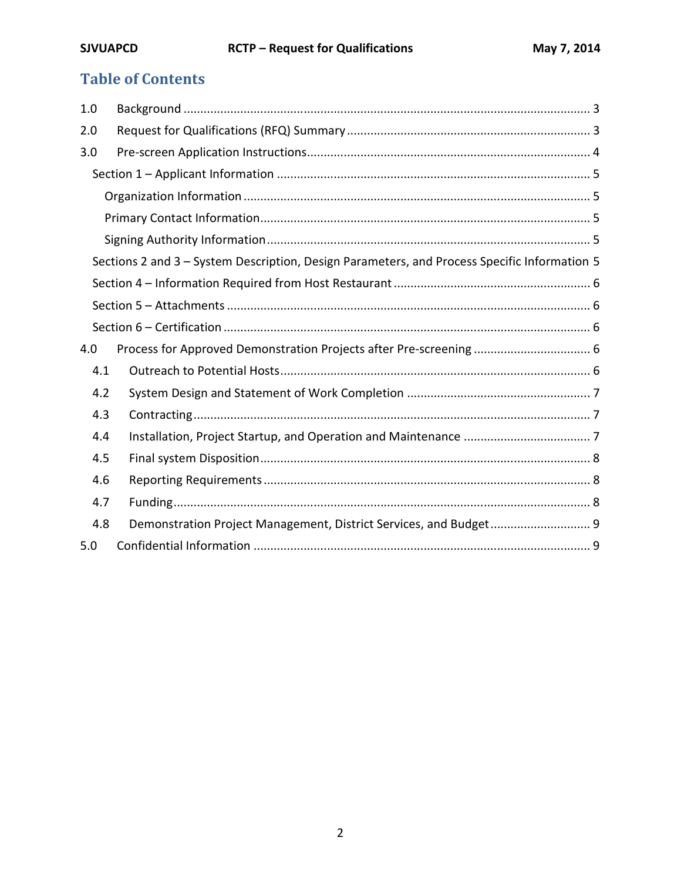# **Table of Contents**

| 1.0 |                                                                                              |
|-----|----------------------------------------------------------------------------------------------|
| 2.0 |                                                                                              |
| 3.0 |                                                                                              |
|     |                                                                                              |
|     |                                                                                              |
|     |                                                                                              |
|     |                                                                                              |
|     | Sections 2 and 3 - System Description, Design Parameters, and Process Specific Information 5 |
|     |                                                                                              |
|     |                                                                                              |
|     |                                                                                              |
| 4.0 |                                                                                              |
| 4.1 |                                                                                              |
| 4.2 |                                                                                              |
| 4.3 |                                                                                              |
| 4.4 |                                                                                              |
| 4.5 |                                                                                              |
| 4.6 |                                                                                              |
| 4.7 |                                                                                              |
| 4.8 | Demonstration Project Management, District Services, and Budget 9                            |
| 5.0 |                                                                                              |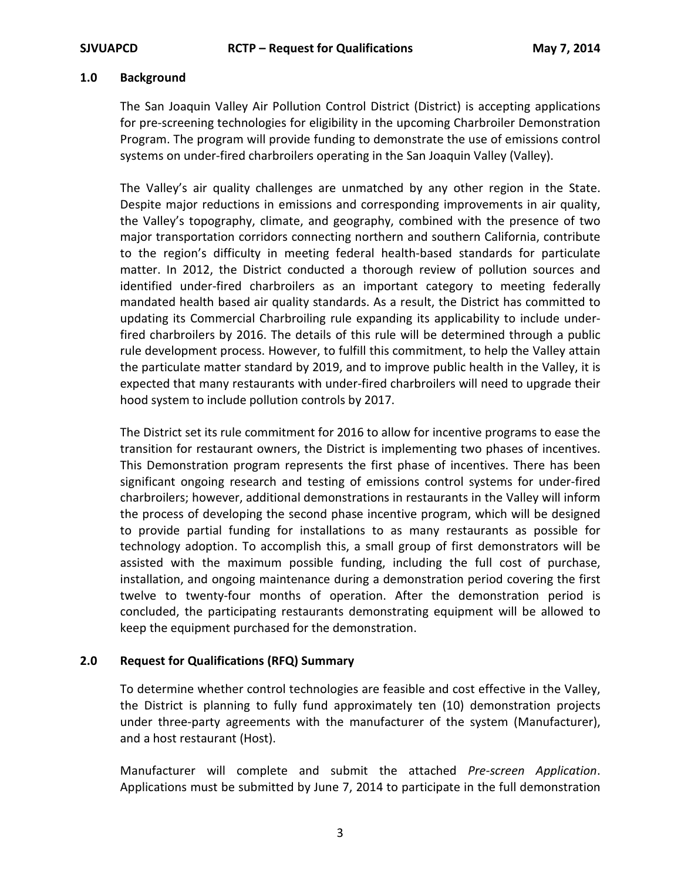#### **1.0 Background**

The San Joaquin Valley Air Pollution Control District (District) is accepting applications for pre-screening technologies for eligibility in the upcoming Charbroiler Demonstration Program. The program will provide funding to demonstrate the use of emissions control systems on under-fired charbroilers operating in the San Joaquin Valley (Valley).

The Valley's air quality challenges are unmatched by any other region in the State. Despite major reductions in emissions and corresponding improvements in air quality, the Valley's topography, climate, and geography, combined with the presence of two major transportation corridors connecting northern and southern California, contribute to the region's difficulty in meeting federal health-based standards for particulate matter. In 2012, the District conducted a thorough review of pollution sources and identified under-fired charbroilers as an important category to meeting federally mandated health based air quality standards. As a result, the District has committed to updating its Commercial Charbroiling rule expanding its applicability to include underfired charbroilers by 2016. The details of this rule will be determined through a public rule development process. However, to fulfill this commitment, to help the Valley attain the particulate matter standard by 2019, and to improve public health in the Valley, it is expected that many restaurants with under-fired charbroilers will need to upgrade their hood system to include pollution controls by 2017.

The District set its rule commitment for 2016 to allow for incentive programs to ease the transition for restaurant owners, the District is implementing two phases of incentives. This Demonstration program represents the first phase of incentives. There has been significant ongoing research and testing of emissions control systems for under-fired charbroilers; however, additional demonstrations in restaurants in the Valley will inform the process of developing the second phase incentive program, which will be designed to provide partial funding for installations to as many restaurants as possible for technology adoption. To accomplish this, a small group of first demonstrators will be assisted with the maximum possible funding, including the full cost of purchase, installation, and ongoing maintenance during a demonstration period covering the first twelve to twenty-four months of operation. After the demonstration period is concluded, the participating restaurants demonstrating equipment will be allowed to keep the equipment purchased for the demonstration.

#### **2.0 Request for Qualifications (RFQ) Summary**

To determine whether control technologies are feasible and cost effective in the Valley, the District is planning to fully fund approximately ten (10) demonstration projects under three-party agreements with the manufacturer of the system (Manufacturer), and a host restaurant (Host).

Manufacturer will complete and submit the attached *Pre-screen Application*. Applications must be submitted by June 7, 2014 to participate in the full demonstration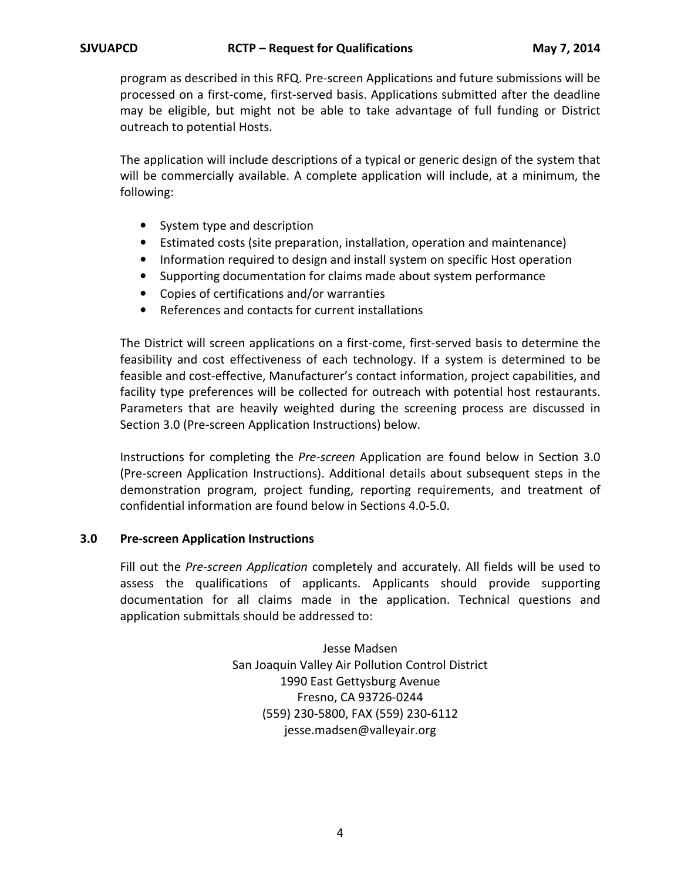program as described in this RFQ. Pre-screen Applications and future submissions will be processed on a first-come, first-served basis. Applications submitted after the deadline may be eligible, but might not be able to take advantage of full funding or District outreach to potential Hosts.

The application will include descriptions of a typical or generic design of the system that will be commercially available. A complete application will include, at a minimum, the following:

- System type and description
- Estimated costs (site preparation, installation, operation and maintenance)
- Information required to design and install system on specific Host operation
- Supporting documentation for claims made about system performance
- Copies of certifications and/or warranties
- References and contacts for current installations

The District will screen applications on a first-come, first-served basis to determine the feasibility and cost effectiveness of each technology. If a system is determined to be feasible and cost-effective, Manufacturer's contact information, project capabilities, and facility type preferences will be collected for outreach with potential host restaurants. Parameters that are heavily weighted during the screening process are discussed in Section 3.0 (Pre-screen Application Instructions) below.

Instructions for completing the *Pre-screen* Application are found below in Section 3.0 (Pre-screen Application Instructions). Additional details about subsequent steps in the demonstration program, project funding, reporting requirements, and treatment of confidential information are found below in Sections 4.0-5.0.

#### **3.0 Pre-screen Application Instructions**

Fill out the *Pre-screen Application* completely and accurately. All fields will be used to assess the qualifications of applicants. Applicants should provide supporting documentation for all claims made in the application. Technical questions and application submittals should be addressed to:

> Jesse Madsen San Joaquin Valley Air Pollution Control District 1990 East Gettysburg Avenue Fresno, CA 93726-0244 (559) 230-5800, FAX (559) 230-6112 jesse.madsen@valleyair.org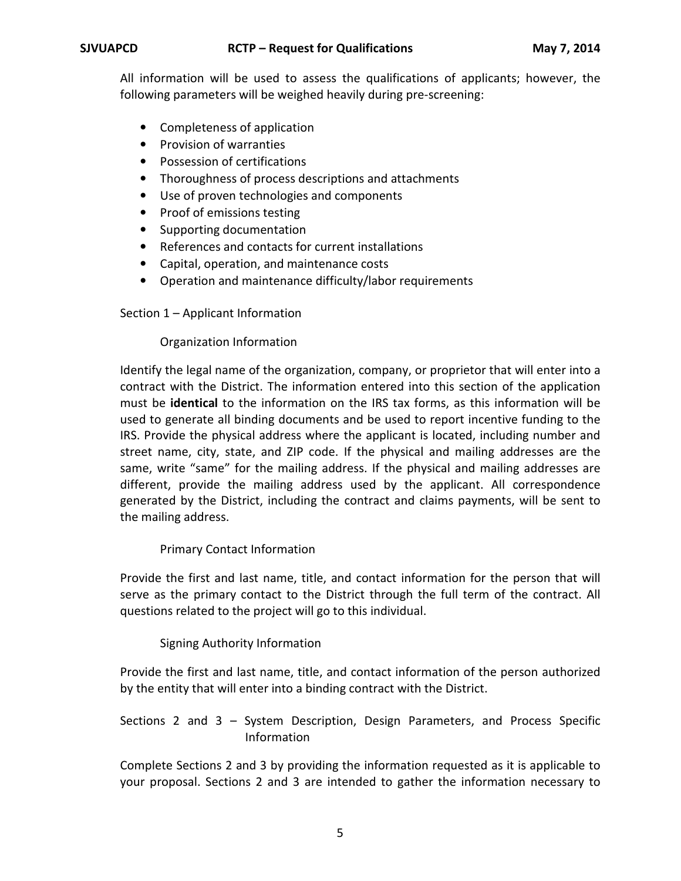All information will be used to assess the qualifications of applicants; however, the following parameters will be weighed heavily during pre-screening:

- Completeness of application
- Provision of warranties
- Possession of certifications
- Thoroughness of process descriptions and attachments
- Use of proven technologies and components
- Proof of emissions testing
- Supporting documentation
- References and contacts for current installations
- Capital, operation, and maintenance costs
- Operation and maintenance difficulty/labor requirements

Section 1 – Applicant Information

#### Organization Information

Identify the legal name of the organization, company, or proprietor that will enter into a contract with the District. The information entered into this section of the application must be **identical** to the information on the IRS tax forms, as this information will be used to generate all binding documents and be used to report incentive funding to the IRS. Provide the physical address where the applicant is located, including number and street name, city, state, and ZIP code. If the physical and mailing addresses are the same, write "same" for the mailing address. If the physical and mailing addresses are different, provide the mailing address used by the applicant. All correspondence generated by the District, including the contract and claims payments, will be sent to the mailing address.

#### Primary Contact Information

Provide the first and last name, title, and contact information for the person that will serve as the primary contact to the District through the full term of the contract. All questions related to the project will go to this individual.

#### Signing Authority Information

Provide the first and last name, title, and contact information of the person authorized by the entity that will enter into a binding contract with the District.

#### Sections 2 and 3 – System Description, Design Parameters, and Process Specific Information

Complete Sections 2 and 3 by providing the information requested as it is applicable to your proposal. Sections 2 and 3 are intended to gather the information necessary to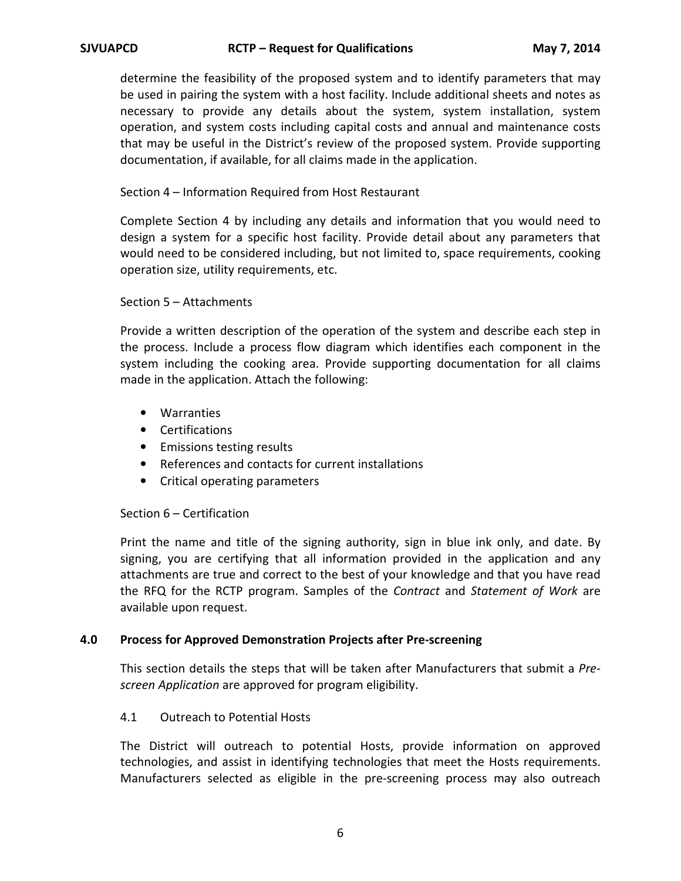determine the feasibility of the proposed system and to identify parameters that may be used in pairing the system with a host facility. Include additional sheets and notes as necessary to provide any details about the system, system installation, system operation, and system costs including capital costs and annual and maintenance costs that may be useful in the District's review of the proposed system. Provide supporting documentation, if available, for all claims made in the application.

#### Section 4 – Information Required from Host Restaurant

Complete Section 4 by including any details and information that you would need to design a system for a specific host facility. Provide detail about any parameters that would need to be considered including, but not limited to, space requirements, cooking operation size, utility requirements, etc.

#### Section 5 – Attachments

Provide a written description of the operation of the system and describe each step in the process. Include a process flow diagram which identifies each component in the system including the cooking area. Provide supporting documentation for all claims made in the application. Attach the following:

- Warranties
- Certifications
- Emissions testing results
- References and contacts for current installations
- Critical operating parameters

#### Section 6 – Certification

Print the name and title of the signing authority, sign in blue ink only, and date. By signing, you are certifying that all information provided in the application and any attachments are true and correct to the best of your knowledge and that you have read the RFQ for the RCTP program. Samples of the *Contract* and *Statement of Work* are available upon request.

#### **4.0 Process for Approved Demonstration Projects after Pre-screening**

This section details the steps that will be taken after Manufacturers that submit a *Prescreen Application* are approved for program eligibility.

#### 4.1 Outreach to Potential Hosts

The District will outreach to potential Hosts, provide information on approved technologies, and assist in identifying technologies that meet the Hosts requirements. Manufacturers selected as eligible in the pre-screening process may also outreach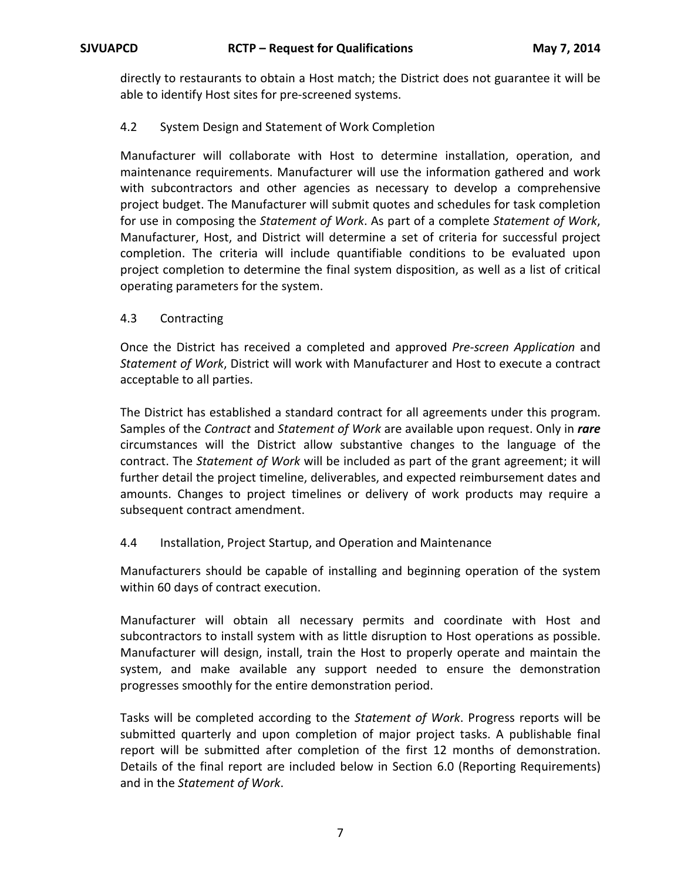directly to restaurants to obtain a Host match; the District does not guarantee it will be able to identify Host sites for pre-screened systems.

## 4.2 System Design and Statement of Work Completion

Manufacturer will collaborate with Host to determine installation, operation, and maintenance requirements. Manufacturer will use the information gathered and work with subcontractors and other agencies as necessary to develop a comprehensive project budget. The Manufacturer will submit quotes and schedules for task completion for use in composing the *Statement of Work*. As part of a complete *Statement of Work*, Manufacturer, Host, and District will determine a set of criteria for successful project completion. The criteria will include quantifiable conditions to be evaluated upon project completion to determine the final system disposition, as well as a list of critical operating parameters for the system.

#### 4.3 Contracting

Once the District has received a completed and approved *Pre-screen Application* and *Statement of Work*, District will work with Manufacturer and Host to execute a contract acceptable to all parties.

The District has established a standard contract for all agreements under this program. Samples of the *Contract* and *Statement of Work* are available upon request. Only in *rare* circumstances will the District allow substantive changes to the language of the contract. The *Statement of Work* will be included as part of the grant agreement; it will further detail the project timeline, deliverables, and expected reimbursement dates and amounts. Changes to project timelines or delivery of work products may require a subsequent contract amendment.

## 4.4 Installation, Project Startup, and Operation and Maintenance

Manufacturers should be capable of installing and beginning operation of the system within 60 days of contract execution.

Manufacturer will obtain all necessary permits and coordinate with Host and subcontractors to install system with as little disruption to Host operations as possible. Manufacturer will design, install, train the Host to properly operate and maintain the system, and make available any support needed to ensure the demonstration progresses smoothly for the entire demonstration period.

Tasks will be completed according to the *Statement of Work*. Progress reports will be submitted quarterly and upon completion of major project tasks. A publishable final report will be submitted after completion of the first 12 months of demonstration. Details of the final report are included below in Section 6.0 (Reporting Requirements) and in the *Statement of Work*.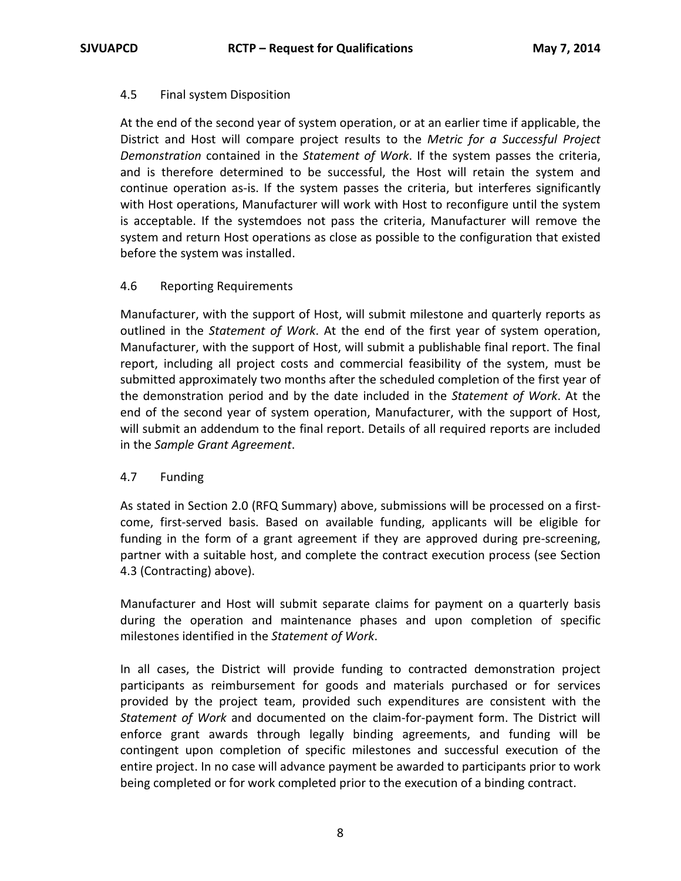#### 4.5 Final system Disposition

At the end of the second year of system operation, or at an earlier time if applicable, the District and Host will compare project results to the *Metric for a Successful Project Demonstration* contained in the *Statement of Work*. If the system passes the criteria, and is therefore determined to be successful, the Host will retain the system and continue operation as-is. If the system passes the criteria, but interferes significantly with Host operations, Manufacturer will work with Host to reconfigure until the system is acceptable. If the systemdoes not pass the criteria, Manufacturer will remove the system and return Host operations as close as possible to the configuration that existed before the system was installed.

#### 4.6 Reporting Requirements

Manufacturer, with the support of Host, will submit milestone and quarterly reports as outlined in the *Statement of Work*. At the end of the first year of system operation, Manufacturer, with the support of Host, will submit a publishable final report. The final report, including all project costs and commercial feasibility of the system, must be submitted approximately two months after the scheduled completion of the first year of the demonstration period and by the date included in the *Statement of Work*. At the end of the second year of system operation, Manufacturer, with the support of Host, will submit an addendum to the final report. Details of all required reports are included in the *Sample Grant Agreement*.

#### 4.7 Funding

As stated in Section 2.0 (RFQ Summary) above, submissions will be processed on a firstcome, first-served basis. Based on available funding, applicants will be eligible for funding in the form of a grant agreement if they are approved during pre-screening, partner with a suitable host, and complete the contract execution process (see Section 4.3 (Contracting) above).

Manufacturer and Host will submit separate claims for payment on a quarterly basis during the operation and maintenance phases and upon completion of specific milestones identified in the *Statement of Work*.

In all cases, the District will provide funding to contracted demonstration project participants as reimbursement for goods and materials purchased or for services provided by the project team, provided such expenditures are consistent with the *Statement of Work* and documented on the claim-for-payment form. The District will enforce grant awards through legally binding agreements, and funding will be contingent upon completion of specific milestones and successful execution of the entire project. In no case will advance payment be awarded to participants prior to work being completed or for work completed prior to the execution of a binding contract.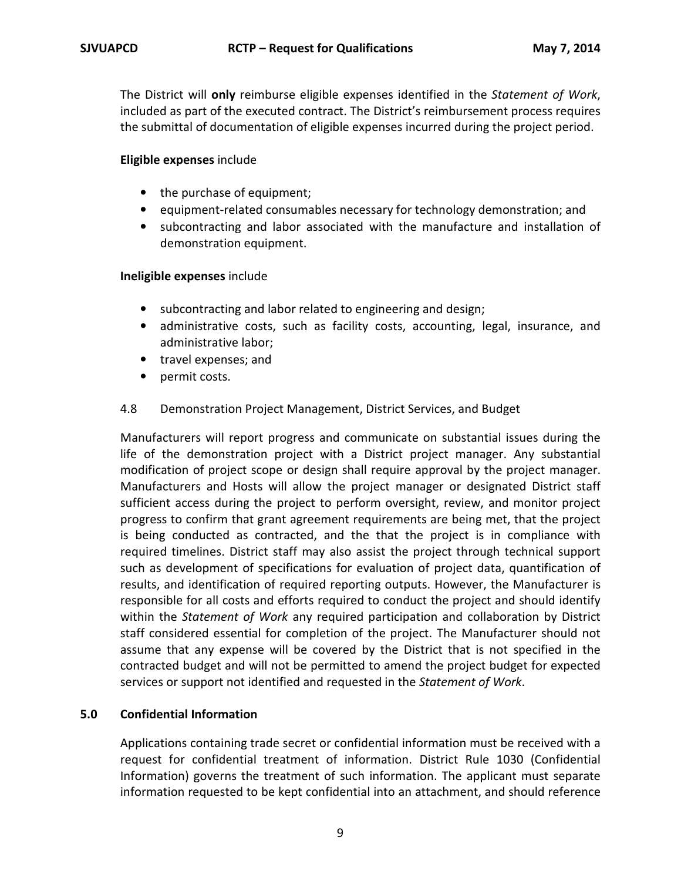The District will **only** reimburse eligible expenses identified in the *Statement of Work*, included as part of the executed contract. The District's reimbursement process requires the submittal of documentation of eligible expenses incurred during the project period.

#### **Eligible expenses** include

- the purchase of equipment;
- equipment-related consumables necessary for technology demonstration; and
- subcontracting and labor associated with the manufacture and installation of demonstration equipment.

#### **Ineligible expenses** include

- subcontracting and labor related to engineering and design;
- administrative costs, such as facility costs, accounting, legal, insurance, and administrative labor;
- travel expenses; and
- permit costs.

#### 4.8 Demonstration Project Management, District Services, and Budget

Manufacturers will report progress and communicate on substantial issues during the life of the demonstration project with a District project manager. Any substantial modification of project scope or design shall require approval by the project manager. Manufacturers and Hosts will allow the project manager or designated District staff sufficient access during the project to perform oversight, review, and monitor project progress to confirm that grant agreement requirements are being met, that the project is being conducted as contracted, and the that the project is in compliance with required timelines. District staff may also assist the project through technical support such as development of specifications for evaluation of project data, quantification of results, and identification of required reporting outputs. However, the Manufacturer is responsible for all costs and efforts required to conduct the project and should identify within the *Statement of Work* any required participation and collaboration by District staff considered essential for completion of the project. The Manufacturer should not assume that any expense will be covered by the District that is not specified in the contracted budget and will not be permitted to amend the project budget for expected services or support not identified and requested in the *Statement of Work*.

## **5.0 Confidential Information**

Applications containing trade secret or confidential information must be received with a request for confidential treatment of information. District Rule 1030 (Confidential Information) governs the treatment of such information. The applicant must separate information requested to be kept confidential into an attachment, and should reference